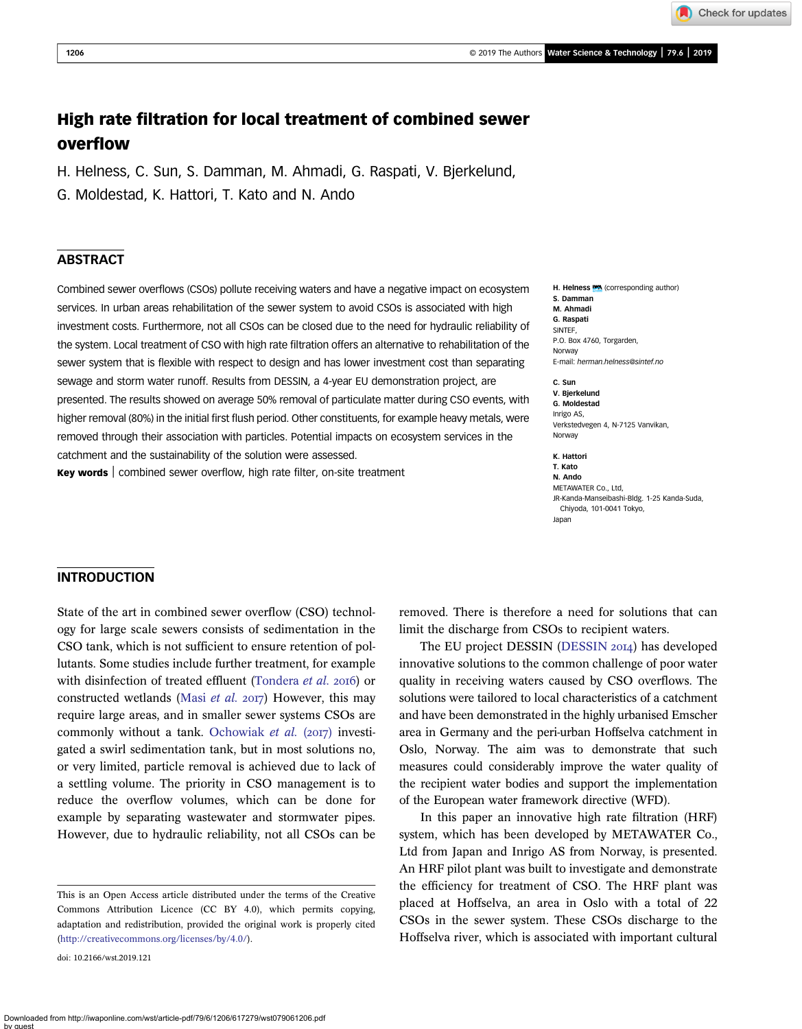Check for updates

# High rate filtration for local treatment of combined sewer overflow

H. Helness, C. Sun, S. Damman, M. Ahmadi, G. Raspati, V. Bjerkelund,

G. Moldestad, K. Hattori, T. Kato and N. Ando

## ABSTRACT

Combined sewer overflows (CSOs) pollute receiving waters and have a negative impact on ecosystem services. In urban areas rehabilitation of the sewer system to avoid CSOs is associated with high investment costs. Furthermore, not all CSOs can be closed due to the need for hydraulic reliability of the system. Local treatment of CSO with high rate filtration offers an alternative to rehabilitation of the sewer system that is flexible with respect to design and has lower investment cost than separating sewage and storm water runoff. Results from DESSIN, a 4-year EU demonstration project, are presented. The results showed on average 50% removal of particulate matter during CSO events, with higher removal (80%) in the initial first flush period. Other constituents, for example heavy metals, were removed through their association with particles. Potential impacts on ecosystem services in the catchment and the sustainability of the solution were assessed.

Key words | combined sewer overflow, high rate filter, on-site treatment

H. Helness **WA** (corresponding author) S. Damman M. Ahmadi G. Raspati SINTEF, P.O. Box 4760, Torgarden, Norway E-mail: [herman.helness@sintef.no](mailto:herman.helness@sintef.no)

C. Sun V. Bjerkelund G. Moldestad Inrigo AS, Verkstedvegen 4, N-7125 Vanvikan, Norway

K. Hattori T. Kato N. Ando METAWATER Co., Ltd, JR-Kanda-Manseibashi-Bldg. 1-25 Kanda-Suda, Chiyoda, 101-0041 Tokyo, Japan

## INTRODUCTION

State of the art in combined sewer overflow (CSO) technology for large scale sewers consists of sedimentation in the CSO tank, which is not sufficient to ensure retention of pollutants. Some studies include further treatment, for example with disinfection of treated effluent ([Tondera](#page-7-0) et al. 2016) or constructed wetlands (Masi [et al.](#page-7-0)  $2017$ ) However, this may require large areas, and in smaller sewer systems CSOs are commonly without a tank. [Ochowiak](#page-7-0) et al.  $(2017)$  investigated a swirl sedimentation tank, but in most solutions no, or very limited, particle removal is achieved due to lack of a settling volume. The priority in CSO management is to reduce the overflow volumes, which can be done for example by separating wastewater and stormwater pipes. However, due to hydraulic reliability, not all CSOs can be

doi: 10.2166/wst.2019.121

removed. There is therefore a need for solutions that can limit the discharge from CSOs to recipient waters.

The EU project DESSIN [\(DESSIN](#page-7-0) 2014) has developed innovative solutions to the common challenge of poor water quality in receiving waters caused by CSO overflows. The solutions were tailored to local characteristics of a catchment and have been demonstrated in the highly urbanised Emscher area in Germany and the peri-urban Hoffselva catchment in Oslo, Norway. The aim was to demonstrate that such measures could considerably improve the water quality of the recipient water bodies and support the implementation of the European water framework directive (WFD).

In this paper an innovative high rate filtration (HRF) system, which has been developed by METAWATER Co., Ltd from Japan and Inrigo AS from Norway, is presented. An HRF pilot plant was built to investigate and demonstrate the efficiency for treatment of CSO. The HRF plant was placed at Hoffselva, an area in Oslo with a total of 22 CSOs in the sewer system. These CSOs discharge to the Hoffselva river, which is associated with important cultural

This is an Open Access article distributed under the terms of the Creative Commons Attribution Licence (CC BY 4.0), which permits copying, adaptation and redistribution, provided the original work is properly cited ([http://creativecommons.org/licenses/by/4.0/\)](http://creativecommons.org/licenses/by/4.0/).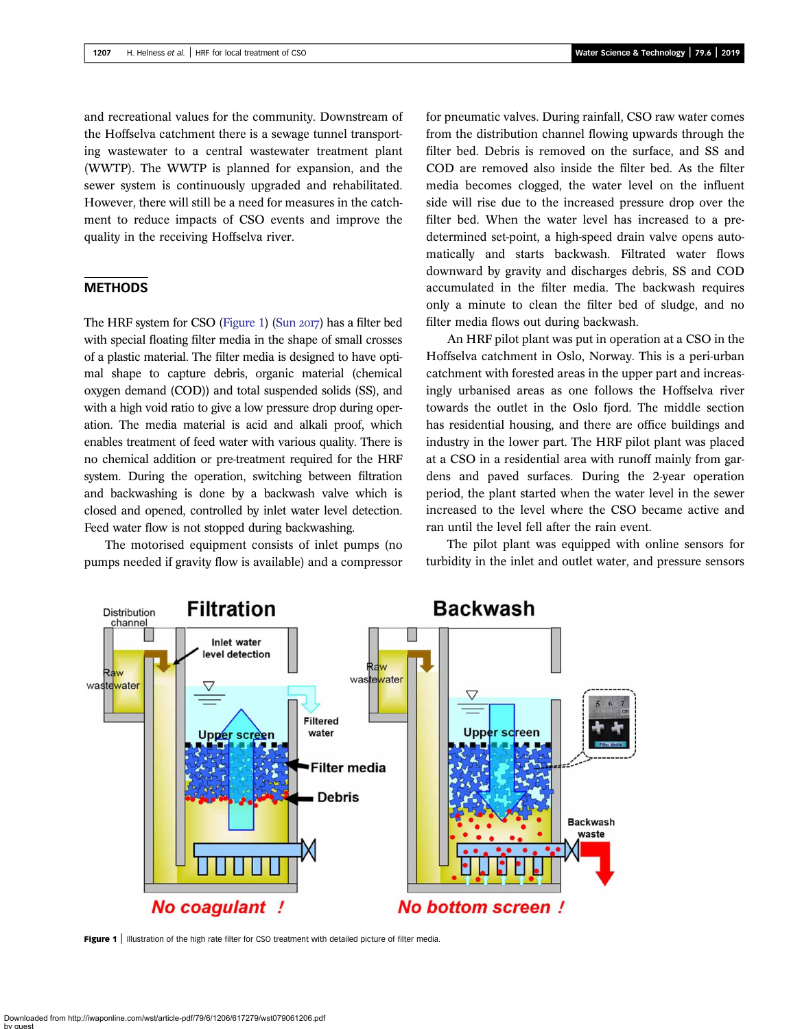and recreational values for the community. Downstream of the Hoffselva catchment there is a sewage tunnel transporting wastewater to a central wastewater treatment plant (WWTP). The WWTP is planned for expansion, and the sewer system is continuously upgraded and rehabilitated. However, there will still be a need for measures in the catchment to reduce impacts of CSO events and improve the quality in the receiving Hoffselva river.

#### **METHODS**

The HRF system for CSO (Figure 1) (Sun 2017) has a filter bed with special floating filter media in the shape of small crosses of a plastic material. The filter media is designed to have optimal shape to capture debris, organic material (chemical oxygen demand (COD)) and total suspended solids (SS), and with a high void ratio to give a low pressure drop during operation. The media material is acid and alkali proof, which enables treatment of feed water with various quality. There is no chemical addition or pre-treatment required for the HRF system. During the operation, switching between filtration and backwashing is done by a backwash valve which is closed and opened, controlled by inlet water level detection. Feed water flow is not stopped during backwashing.

The motorised equipment consists of inlet pumps (no pumps needed if gravity flow is available) and a compressor for pneumatic valves. During rainfall, CSO raw water comes from the distribution channel flowing upwards through the filter bed. Debris is removed on the surface, and SS and COD are removed also inside the filter bed. As the filter media becomes clogged, the water level on the influent side will rise due to the increased pressure drop over the filter bed. When the water level has increased to a predetermined set-point, a high-speed drain valve opens automatically and starts backwash. Filtrated water flows downward by gravity and discharges debris, SS and COD accumulated in the filter media. The backwash requires only a minute to clean the filter bed of sludge, and no filter media flows out during backwash.

An HRF pilot plant was put in operation at a CSO in the Hoffselva catchment in Oslo, Norway. This is a peri-urban catchment with forested areas in the upper part and increasingly urbanised areas as one follows the Hoffselva river towards the outlet in the Oslo fjord. The middle section has residential housing, and there are office buildings and industry in the lower part. The HRF pilot plant was placed at a CSO in a residential area with runoff mainly from gardens and paved surfaces. During the 2-year operation period, the plant started when the water level in the sewer increased to the level where the CSO became active and ran until the level fell after the rain event.

The pilot plant was equipped with online sensors for turbidity in the inlet and outlet water, and pressure sensors



Figure 1 | Illustration of the high rate filter for CSO treatment with detailed picture of filter media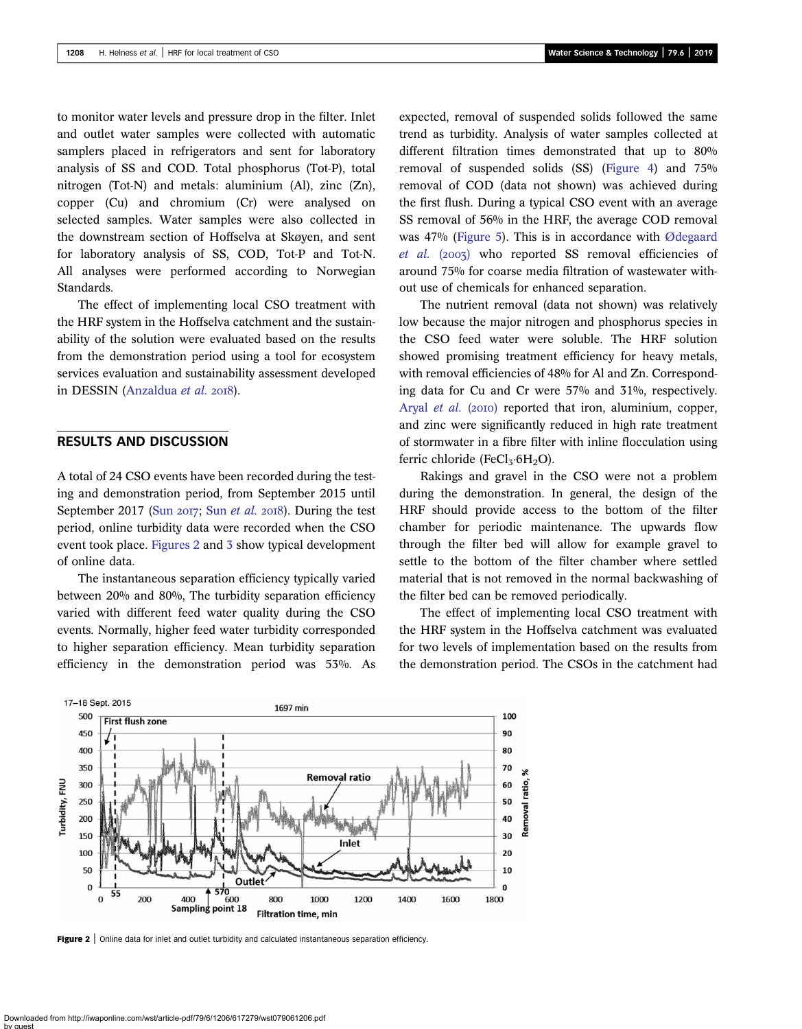to monitor water levels and pressure drop in the filter. Inlet and outlet water samples were collected with automatic samplers placed in refrigerators and sent for laboratory analysis of SS and COD. Total phosphorus (Tot-P), total nitrogen (Tot-N) and metals: aluminium (Al), zinc (Zn), copper (Cu) and chromium (Cr) were analysed on selected samples. Water samples were also collected in the downstream section of Hoffselva at Skøyen, and sent for laboratory analysis of SS, COD, Tot-P and Tot-N. All analyses were performed according to Norwegian Standards.

The effect of implementing local CSO treatment with the HRF system in the Hoffselva catchment and the sustainability of the solution were evaluated based on the results from the demonstration period using a tool for ecosystem services evaluation and sustainability assessment developed in DESSIN ([Anzaldua](#page-6-0) et al. 2018).

# RESULTS AND DISCUSSION

A total of 24 CSO events have been recorded during the testing and demonstration period, from September 2015 until September 2017 (Sun  $2017$ ; Sun *[et al.](#page-7-0)*  $2018$ ). During the test period, online turbidity data were recorded when the CSO event took place. Figures 2 and [3](#page-3-0) show typical development of online data.

The instantaneous separation efficiency typically varied between 20% and 80%, The turbidity separation efficiency varied with different feed water quality during the CSO events. Normally, higher feed water turbidity corresponded to higher separation efficiency. Mean turbidity separation efficiency in the demonstration period was 53%. As expected, removal of suspended solids followed the same trend as turbidity. Analysis of water samples collected at different filtration times demonstrated that up to 80% removal of suspended solids (SS) [\(Figure 4](#page-3-0)) and 75% removal of COD (data not shown) was achieved during the first flush. During a typical CSO event with an average SS removal of 56% in the HRF, the average COD removal was 47% [\(Figure 5\)](#page-3-0). This is in accordance with [Ødegaard](#page-7-0) [et al.](#page-7-0) (2003) who reported SS removal efficiencies of around 75% for coarse media filtration of wastewater without use of chemicals for enhanced separation.

The nutrient removal (data not shown) was relatively low because the major nitrogen and phosphorus species in the CSO feed water were soluble. The HRF solution showed promising treatment efficiency for heavy metals, with removal efficiencies of 48% for Al and Zn. Corresponding data for Cu and Cr were 57% and 31%, respectively. [Aryal](#page-7-0) et al. (2010) reported that iron, aluminium, copper, and zinc were significantly reduced in high rate treatment of stormwater in a fibre filter with inline flocculation using ferric chloride (FeCl<sub>3</sub>·6H<sub>2</sub>O).

Rakings and gravel in the CSO were not a problem during the demonstration. In general, the design of the HRF should provide access to the bottom of the filter chamber for periodic maintenance. The upwards flow through the filter bed will allow for example gravel to settle to the bottom of the filter chamber where settled material that is not removed in the normal backwashing of the filter bed can be removed periodically.

The effect of implementing local CSO treatment with the HRF system in the Hoffselva catchment was evaluated for two levels of implementation based on the results from the demonstration period. The CSOs in the catchment had



Figure 2 | Online data for inlet and outlet turbidity and calculated instantaneous separation efficiency.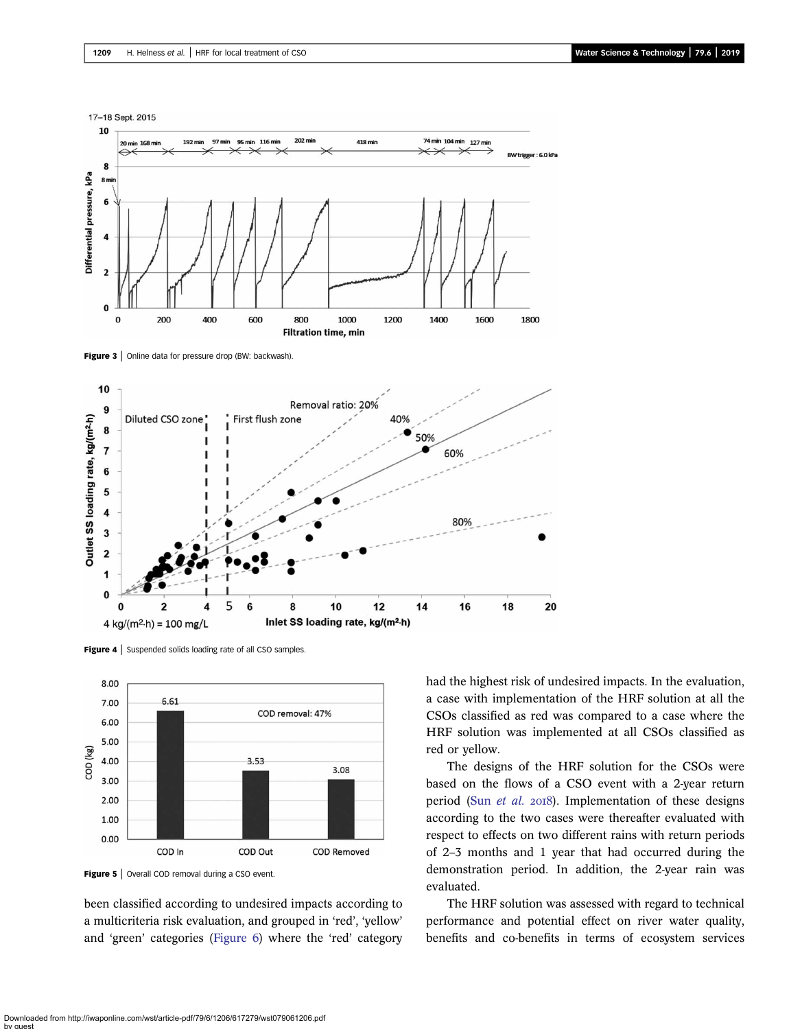<span id="page-3-0"></span>

Figure 3 | Online data for pressure drop (BW: backwash)



Figure 4 | Suspended solids loading rate of all CSO samples.



Figure 5 | Overall COD removal during a CSO event.

been classified according to undesired impacts according to a multicriteria risk evaluation, and grouped in 'red', 'yellow' and 'green' categories [\(Figure 6\)](#page-4-0) where the 'red' category had the highest risk of undesired impacts. In the evaluation, a case with implementation of the HRF solution at all the CSOs classified as red was compared to a case where the HRF solution was implemented at all CSOs classified as red or yellow.

The designs of the HRF solution for the CSOs were based on the flows of a CSO event with a 2-year return period (Sun [et al.](#page-7-0) 2018). Implementation of these designs according to the two cases were thereafter evaluated with respect to effects on two different rains with return periods of 2–3 months and 1 year that had occurred during the demonstration period. In addition, the 2-year rain was evaluated.

The HRF solution was assessed with regard to technical performance and potential effect on river water quality, benefits and co-benefits in terms of ecosystem services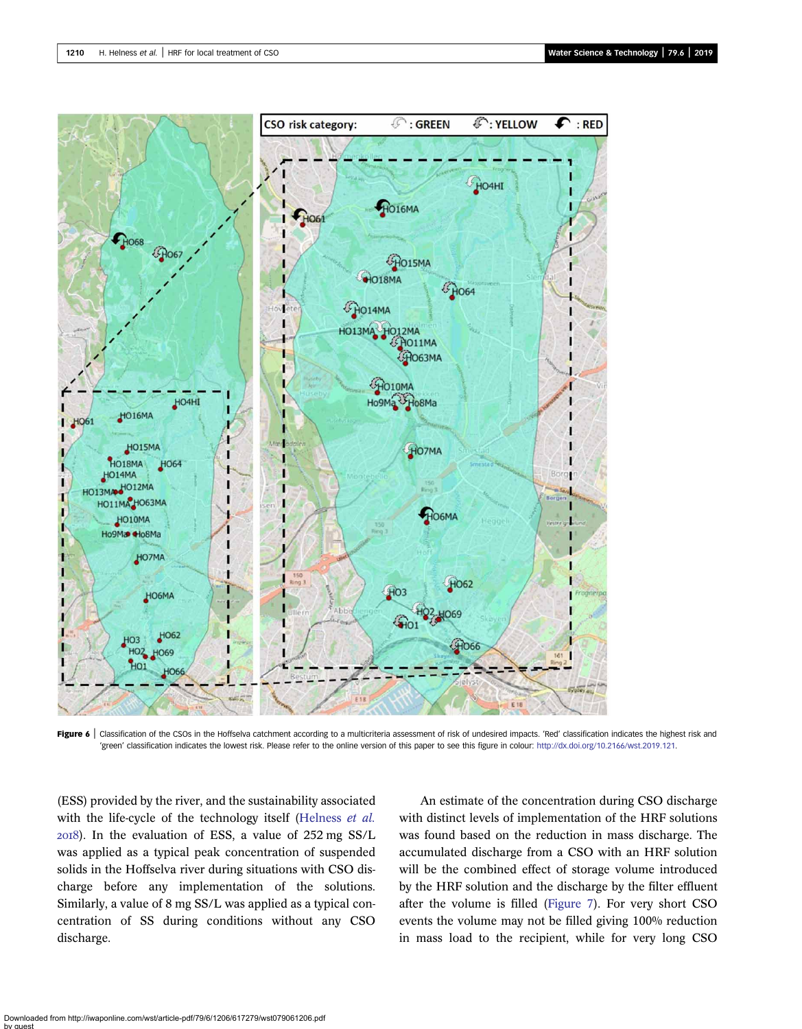<span id="page-4-0"></span>

Figure 6 | Classification of the CSOs in the Hoffselva catchment according to a multicriteria assessment of risk of undesired impacts. 'Red' classification indicates the highest risk and 'green' classification indicates the lowest risk. Please refer to the online version of this paper to see this figure in colour: <http://dx.doi.org/10.2166/wst.2019.121>.

(ESS) provided by the river, and the sustainability associated with the life-cycle of the technology itself [\(Helness](#page-7-0) et al. ). In the evaluation of ESS, a value of 252 mg SS/L was applied as a typical peak concentration of suspended solids in the Hoffselva river during situations with CSO discharge before any implementation of the solutions. Similarly, a value of 8 mg SS/L was applied as a typical concentration of SS during conditions without any CSO discharge.

An estimate of the concentration during CSO discharge with distinct levels of implementation of the HRF solutions was found based on the reduction in mass discharge. The accumulated discharge from a CSO with an HRF solution will be the combined effect of storage volume introduced by the HRF solution and the discharge by the filter effluent after the volume is filled [\(Figure 7](#page-5-0)). For very short CSO events the volume may not be filled giving 100% reduction in mass load to the recipient, while for very long CSO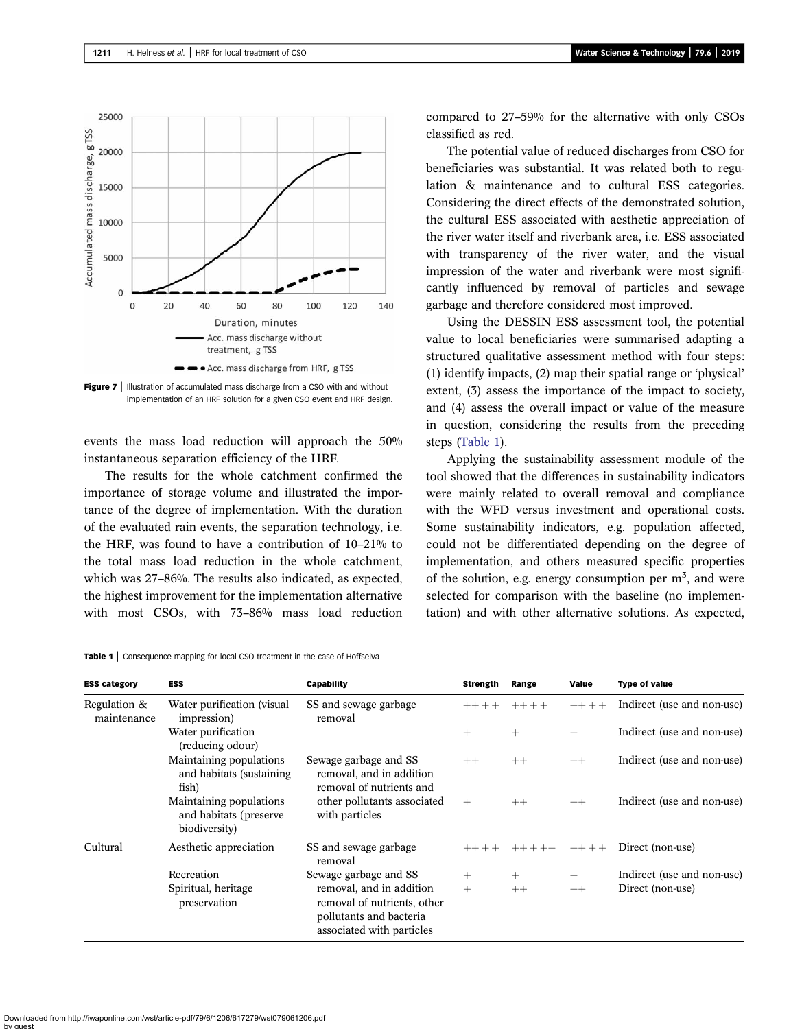<span id="page-5-0"></span>

Figure 7 | Illustration of accumulated mass discharge from a CSO with and without implementation of an HRF solution for a given CSO event and HRF design.

events the mass load reduction will approach the 50% instantaneous separation efficiency of the HRF.

The results for the whole catchment confirmed the importance of storage volume and illustrated the importance of the degree of implementation. With the duration of the evaluated rain events, the separation technology, i.e. the HRF, was found to have a contribution of 10–21% to the total mass load reduction in the whole catchment, which was 27–86%. The results also indicated, as expected, the highest improvement for the implementation alternative with most CSOs, with 73–86% mass load reduction compared to 27–59% for the alternative with only CSOs classified as red.

The potential value of reduced discharges from CSO for beneficiaries was substantial. It was related both to regulation & maintenance and to cultural ESS categories. Considering the direct effects of the demonstrated solution, the cultural ESS associated with aesthetic appreciation of the river water itself and riverbank area, i.e. ESS associated with transparency of the river water, and the visual impression of the water and riverbank were most significantly influenced by removal of particles and sewage garbage and therefore considered most improved.

Using the DESSIN ESS assessment tool, the potential value to local beneficiaries were summarised adapting a structured qualitative assessment method with four steps: (1) identify impacts, (2) map their spatial range or 'physical' extent, (3) assess the importance of the impact to society, and (4) assess the overall impact or value of the measure in question, considering the results from the preceding steps (Table 1).

Applying the sustainability assessment module of the tool showed that the differences in sustainability indicators were mainly related to overall removal and compliance with the WFD versus investment and operational costs. Some sustainability indicators, e.g. population affected, could not be differentiated depending on the degree of implementation, and others measured specific properties of the solution, e.g. energy consumption per  $m<sup>3</sup>$ , and were selected for comparison with the baseline (no implementation) and with other alternative solutions. As expected,

| <b>ESS category</b>         | <b>ESS</b>                                                          | Capability                                                                                                      | <b>Strength</b> | Range   | Value     | Type of value              |
|-----------------------------|---------------------------------------------------------------------|-----------------------------------------------------------------------------------------------------------------|-----------------|---------|-----------|----------------------------|
| Regulation &<br>maintenance | Water purification (visual<br>impression)                           | SS and sewage garbage<br>removal                                                                                | $++++$          | $++++$  | $+++ + +$ | Indirect (use and non-use) |
|                             | Water purification<br>(reducing odour)                              |                                                                                                                 | $^{+}$          | $+$     | $+$       | Indirect (use and non-use) |
|                             | Maintaining populations<br>and habitats (sustaining)<br>fish)       | Sewage garbage and SS<br>removal, and in addition<br>removal of nutrients and                                   | $++$            | $++$    | $++$      | Indirect (use and non-use) |
|                             | Maintaining populations<br>and habitats (preserve)<br>biodiversity) | other pollutants associated<br>with particles                                                                   | $+$             | $++$    | $++$      | Indirect (use and non-use) |
| Cultural                    | Aesthetic appreciation                                              | SS and sewage garbage<br>removal                                                                                | $++++$          | $+++++$ | $+++ + +$ | Direct (non-use)           |
|                             | Recreation                                                          | Sewage garbage and SS                                                                                           | $+$             | $+$     | $+$       | Indirect (use and non-use) |
|                             | Spiritual, heritage<br>preservation                                 | removal, and in addition<br>removal of nutrients, other<br>pollutants and bacteria<br>associated with particles | $+$             | $++$    | $++$      | Direct (non-use)           |

Downloaded from http://iwaponline.com/wst/article-pdf/79/6/1206/617279/wst079061206.pdf by guest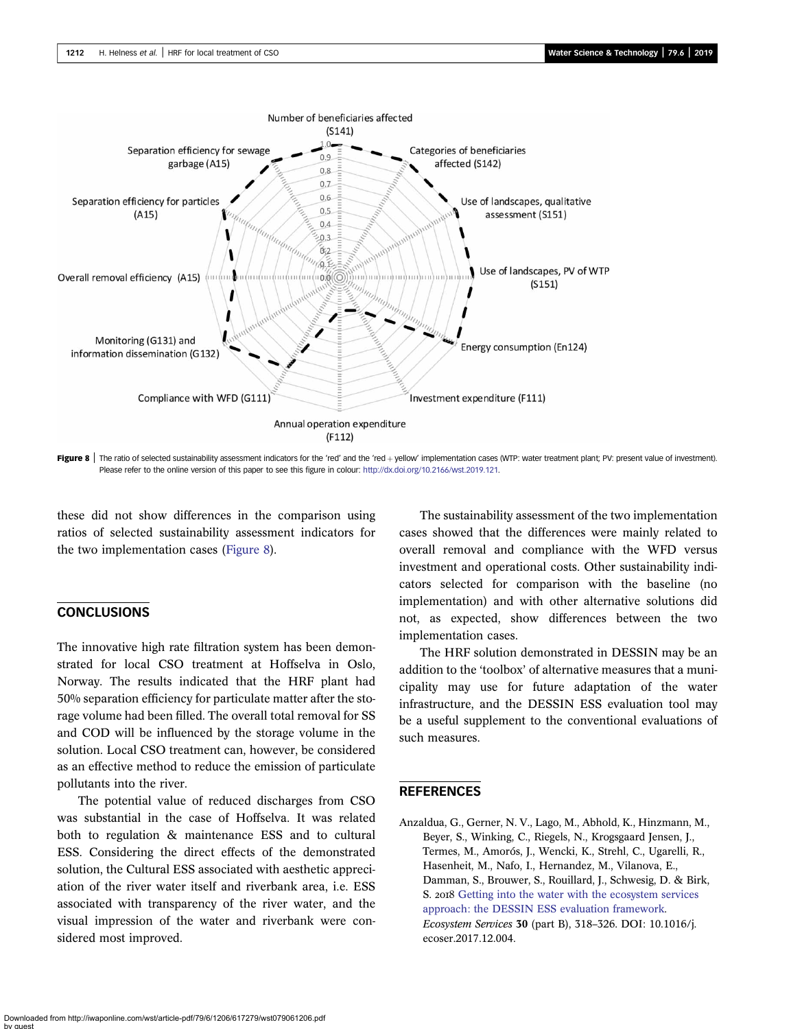<span id="page-6-0"></span>

Figure 8 | The ratio of selected sustainability assessment indicators for the 'red' and the 'red + yellow' implementation cases (WTP: water treatment plant; PV: present value of investment). Please refer to the online version of this paper to see this figure in colour: [http://dx.doi.org/10.2166/wst.2019.121.](http://dx.doi.org/10.2166/wst.2019.121)

these did not show differences in the comparison using ratios of selected sustainability assessment indicators for the two implementation cases (Figure 8).

# **CONCLUSIONS**

The innovative high rate filtration system has been demonstrated for local CSO treatment at Hoffselva in Oslo, Norway. The results indicated that the HRF plant had 50% separation efficiency for particulate matter after the storage volume had been filled. The overall total removal for SS and COD will be influenced by the storage volume in the solution. Local CSO treatment can, however, be considered as an effective method to reduce the emission of particulate pollutants into the river.

The potential value of reduced discharges from CSO was substantial in the case of Hoffselva. It was related both to regulation & maintenance ESS and to cultural ESS. Considering the direct effects of the demonstrated solution, the Cultural ESS associated with aesthetic appreciation of the river water itself and riverbank area, i.e. ESS associated with transparency of the river water, and the visual impression of the water and riverbank were considered most improved.

The sustainability assessment of the two implementation cases showed that the differences were mainly related to overall removal and compliance with the WFD versus investment and operational costs. Other sustainability indicators selected for comparison with the baseline (no implementation) and with other alternative solutions did not, as expected, show differences between the two implementation cases.

The HRF solution demonstrated in DESSIN may be an addition to the 'toolbox' of alternative measures that a municipality may use for future adaptation of the water infrastructure, and the DESSIN ESS evaluation tool may be a useful supplement to the conventional evaluations of such measures.

#### REFERENCES

Anzaldua, G., Gerner, N. V., Lago, M., Abhold, K., Hinzmann, M., Beyer, S., Winking, C., Riegels, N., Krogsgaard Jensen, J., Termes, M., Amorós, J., Wencki, K., Strehl, C., Ugarelli, R., Hasenheit, M., Nafo, I., Hernandez, M., Vilanova, E., Damman, S., Brouwer, S., Rouillard, J., Schwesig, D. & Birk, S. 2018 [Getting into the water with the ecosystem services](http://dx.doi.org/10.1016/j.ecoser.2017.12.004) [approach: the DESSIN ESS evaluation framework](http://dx.doi.org/10.1016/j.ecoser.2017.12.004). Ecosystem Services 30 (part B), 318–326. DOI: 10.1016/j. ecoser.2017.12.004.